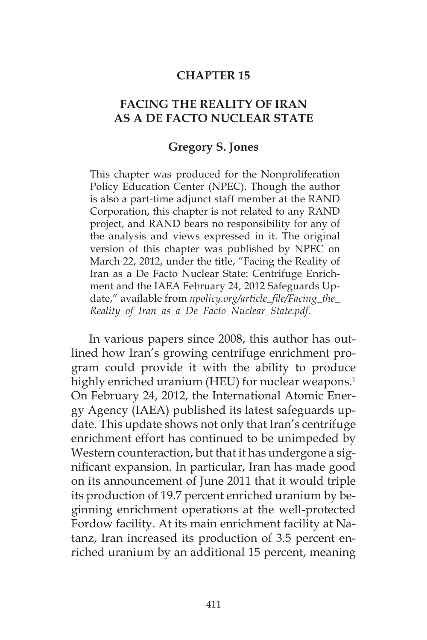#### **CHAPTER 15**

### **FACING THE REALITY OF IRAN AS A DE FACTO NUCLEAR STATE**

#### **Gregory S. Jones**

This chapter was produced for the Nonproliferation Policy Education Center (NPEC). Though the author is also a part-time adjunct staff member at the RAND Corporation, this chapter is not related to any RAND project, and RAND bears no responsibility for any of the analysis and views expressed in it. The original version of this chapter was published by NPEC on March 22, 2012, under the title, "Facing the Reality of Iran as a De Facto Nuclear State: Centrifuge Enrichment and the IAEA February 24, 2012 Safeguards Update," available from *npolicy.org/article\_file/Facing\_the\_ Reality\_of\_Iran\_as\_a\_De\_Facto\_Nuclear\_State.pdf.*

In various papers since 2008, this author has outlined how Iran's growing centrifuge enrichment program could provide it with the ability to produce highly enriched uranium (HEU) for nuclear weapons.<sup>1</sup> On February 24, 2012, the International Atomic Energy Agency (IAEA) published its latest safeguards update. This update shows not only that Iran's centrifuge enrichment effort has continued to be unimpeded by Western counteraction, but that it has undergone a significant expansion. In particular, Iran has made good on its announcement of June 2011 that it would triple its production of 19.7 percent enriched uranium by beginning enrichment operations at the well-protected Fordow facility. At its main enrichment facility at Natanz, Iran increased its production of 3.5 percent enriched uranium by an additional 15 percent, meaning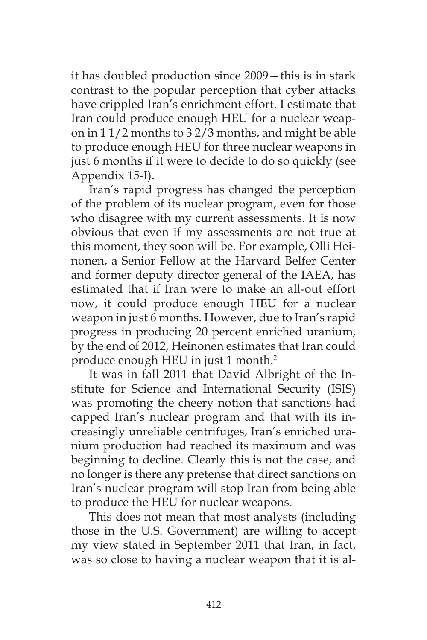it has doubled production since 2009—this is in stark contrast to the popular perception that cyber attacks have crippled Iran's enrichment effort. I estimate that Iran could produce enough HEU for a nuclear weapon in 1 1/2 months to 3 2/3 months, and might be able to produce enough HEU for three nuclear weapons in just 6 months if it were to decide to do so quickly (see Appendix 15-I).

Iran's rapid progress has changed the perception of the problem of its nuclear program, even for those who disagree with my current assessments. It is now obvious that even if my assessments are not true at this moment, they soon will be. For example, Olli Heinonen, a Senior Fellow at the Harvard Belfer Center and former deputy director general of the IAEA, has estimated that if Iran were to make an all-out effort now, it could produce enough HEU for a nuclear weapon in just 6 months. However, due to Iran's rapid progress in producing 20 percent enriched uranium, by the end of 2012, Heinonen estimates that Iran could produce enough HEU in just 1 month.<sup>2</sup>

It was in fall 2011 that David Albright of the Institute for Science and International Security (ISIS) was promoting the cheery notion that sanctions had capped Iran's nuclear program and that with its increasingly unreliable centrifuges, Iran's enriched uranium production had reached its maximum and was beginning to decline. Clearly this is not the case, and no longer is there any pretense that direct sanctions on Iran's nuclear program will stop Iran from being able to produce the HEU for nuclear weapons.

This does not mean that most analysts (including those in the U.S. Government) are willing to accept my view stated in September 2011 that Iran, in fact, was so close to having a nuclear weapon that it is al-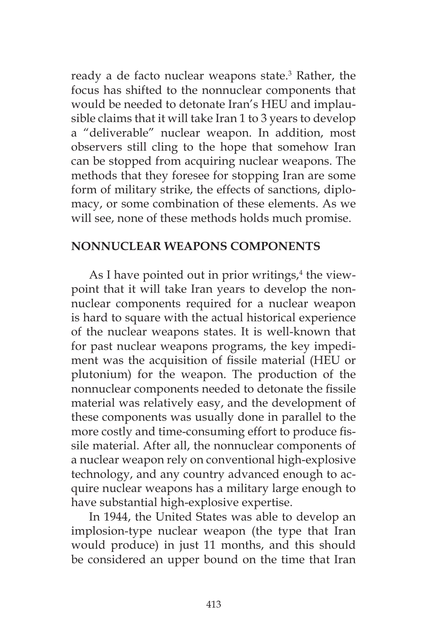ready a de facto nuclear weapons state.3 Rather, the focus has shifted to the nonnuclear components that would be needed to detonate Iran's HEU and implausible claims that it will take Iran 1 to 3 years to develop a "deliverable" nuclear weapon. In addition, most observers still cling to the hope that somehow Iran can be stopped from acquiring nuclear weapons. The methods that they foresee for stopping Iran are some form of military strike, the effects of sanctions, diplomacy, or some combination of these elements. As we will see, none of these methods holds much promise.

#### **NONNUCLEAR WEAPONS COMPONENTS**

As I have pointed out in prior writings,<sup>4</sup> the viewpoint that it will take Iran years to develop the nonnuclear components required for a nuclear weapon is hard to square with the actual historical experience of the nuclear weapons states. It is well-known that for past nuclear weapons programs, the key impediment was the acquisition of fissile material (HEU or plutonium) for the weapon. The production of the nonnuclear components needed to detonate the fissile material was relatively easy, and the development of these components was usually done in parallel to the more costly and time-consuming effort to produce fissile material. After all, the nonnuclear components of a nuclear weapon rely on conventional high-explosive technology, and any country advanced enough to acquire nuclear weapons has a military large enough to have substantial high-explosive expertise.

In 1944, the United States was able to develop an implosion-type nuclear weapon (the type that Iran would produce) in just 11 months, and this should be considered an upper bound on the time that Iran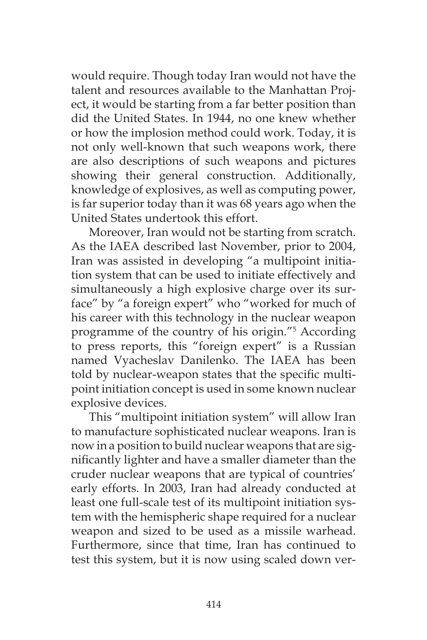would require. Though today Iran would not have the talent and resources available to the Manhattan Project, it would be starting from a far better position than did the United States. In 1944, no one knew whether or how the implosion method could work. Today, it is not only well-known that such weapons work, there are also descriptions of such weapons and pictures showing their general construction. Additionally, knowledge of explosives, as well as computing power, is far superior today than it was 68 years ago when the United States undertook this effort.

Moreover, Iran would not be starting from scratch. As the IAEA described last November, prior to 2004, Iran was assisted in developing "a multipoint initiation system that can be used to initiate effectively and simultaneously a high explosive charge over its surface" by "a foreign expert" who "worked for much of his career with this technology in the nuclear weapon programme of the country of his origin."5 According to press reports, this "foreign expert" is a Russian named Vyacheslav Danilenko. The IAEA has been told by nuclear-weapon states that the specific multipoint initiation concept is used in some known nuclear explosive devices.

This "multipoint initiation system" will allow Iran to manufacture sophisticated nuclear weapons. Iran is now in a position to build nuclear weapons that are significantly lighter and have a smaller diameter than the cruder nuclear weapons that are typical of countries' early efforts. In 2003, Iran had already conducted at least one full-scale test of its multipoint initiation system with the hemispheric shape required for a nuclear weapon and sized to be used as a missile warhead. Furthermore, since that time, Iran has continued to test this system, but it is now using scaled down ver-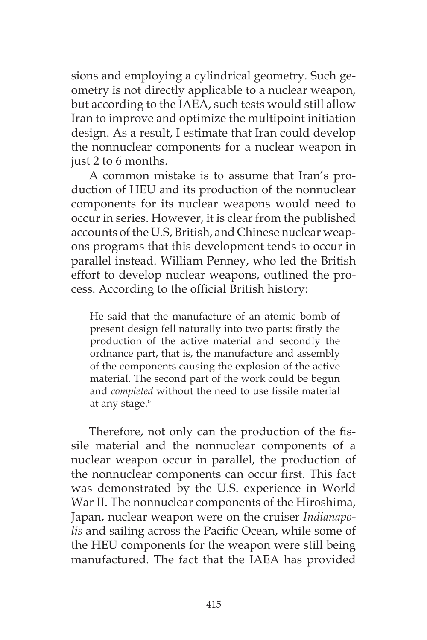sions and employing a cylindrical geometry. Such geometry is not directly applicable to a nuclear weapon, but according to the IAEA, such tests would still allow Iran to improve and optimize the multipoint initiation design. As a result, I estimate that Iran could develop the nonnuclear components for a nuclear weapon in just 2 to 6 months.

A common mistake is to assume that Iran's production of HEU and its production of the nonnuclear components for its nuclear weapons would need to occur in series. However, it is clear from the published accounts of the U.S, British, and Chinese nuclear weapons programs that this development tends to occur in parallel instead. William Penney, who led the British effort to develop nuclear weapons, outlined the process. According to the official British history:

He said that the manufacture of an atomic bomb of present design fell naturally into two parts: firstly the production of the active material and secondly the ordnance part, that is, the manufacture and assembly of the components causing the explosion of the active material. The second part of the work could be begun and *completed* without the need to use fissile material at any stage.<sup>6</sup>

Therefore, not only can the production of the fissile material and the nonnuclear components of a nuclear weapon occur in parallel, the production of the nonnuclear components can occur first. This fact was demonstrated by the U.S. experience in World War II. The nonnuclear components of the Hiroshima, Japan, nuclear weapon were on the cruiser *Indianapolis* and sailing across the Pacific Ocean, while some of the HEU components for the weapon were still being manufactured. The fact that the IAEA has provided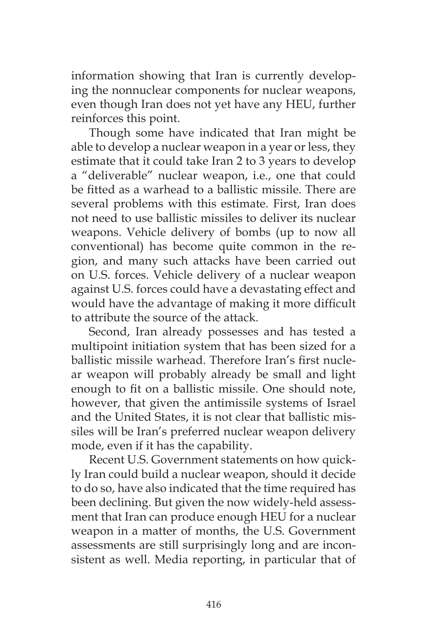information showing that Iran is currently developing the nonnuclear components for nuclear weapons, even though Iran does not yet have any HEU, further reinforces this point.

Though some have indicated that Iran might be able to develop a nuclear weapon in a year or less, they estimate that it could take Iran 2 to 3 years to develop a "deliverable" nuclear weapon, i.e., one that could be fitted as a warhead to a ballistic missile. There are several problems with this estimate. First, Iran does not need to use ballistic missiles to deliver its nuclear weapons. Vehicle delivery of bombs (up to now all conventional) has become quite common in the region, and many such attacks have been carried out on U.S. forces. Vehicle delivery of a nuclear weapon against U.S. forces could have a devastating effect and would have the advantage of making it more difficult to attribute the source of the attack.

Second, Iran already possesses and has tested a multipoint initiation system that has been sized for a ballistic missile warhead. Therefore Iran's first nuclear weapon will probably already be small and light enough to fit on a ballistic missile. One should note, however, that given the antimissile systems of Israel and the United States, it is not clear that ballistic missiles will be Iran's preferred nuclear weapon delivery mode, even if it has the capability.

Recent U.S. Government statements on how quickly Iran could build a nuclear weapon, should it decide to do so, have also indicated that the time required has been declining. But given the now widely-held assessment that Iran can produce enough HEU for a nuclear weapon in a matter of months, the U.S. Government assessments are still surprisingly long and are inconsistent as well. Media reporting, in particular that of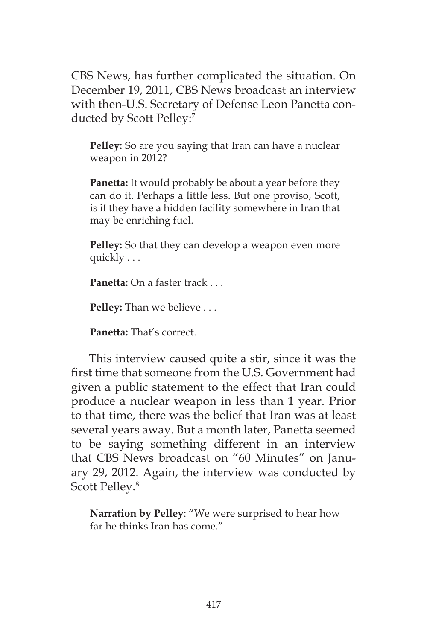CBS News, has further complicated the situation. On December 19, 2011, CBS News broadcast an interview with then-U.S. Secretary of Defense Leon Panetta conducted by Scott Pelley:7

**Pelley:** So are you saying that Iran can have a nuclear weapon in 2012?

**Panetta:** It would probably be about a year before they can do it. Perhaps a little less. But one proviso, Scott, is if they have a hidden facility somewhere in Iran that may be enriching fuel.

**Pelley:** So that they can develop a weapon even more quickly . . .

**Panetta:** On a faster track . . .

**Pelley:** Than we believe . . .

**Panetta:** That's correct.

This interview caused quite a stir, since it was the first time that someone from the U.S. Government had given a public statement to the effect that Iran could produce a nuclear weapon in less than 1 year. Prior to that time, there was the belief that Iran was at least several years away. But a month later, Panetta seemed to be saying something different in an interview that CBS News broadcast on "60 Minutes" on January 29, 2012. Again, the interview was conducted by Scott Pelley.<sup>8</sup>

**Narration by Pelley**: "We were surprised to hear how far he thinks Iran has come."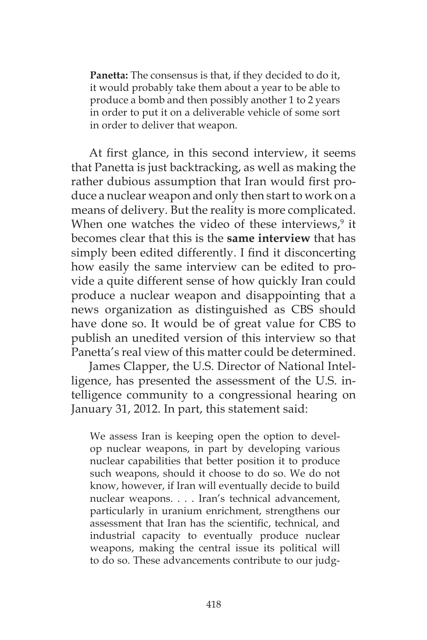**Panetta:** The consensus is that, if they decided to do it, it would probably take them about a year to be able to produce a bomb and then possibly another 1 to 2 years in order to put it on a deliverable vehicle of some sort in order to deliver that weapon.

At first glance, in this second interview, it seems that Panetta is just backtracking, as well as making the rather dubious assumption that Iran would first produce a nuclear weapon and only then start to work on a means of delivery. But the reality is more complicated. When one watches the video of these interviews,<sup>9</sup> it becomes clear that this is the **same interview** that has simply been edited differently. I find it disconcerting how easily the same interview can be edited to provide a quite different sense of how quickly Iran could produce a nuclear weapon and disappointing that a news organization as distinguished as CBS should have done so. It would be of great value for CBS to publish an unedited version of this interview so that Panetta's real view of this matter could be determined.

James Clapper, the U.S. Director of National Intelligence, has presented the assessment of the U.S. intelligence community to a congressional hearing on January 31, 2012. In part, this statement said:

We assess Iran is keeping open the option to develop nuclear weapons, in part by developing various nuclear capabilities that better position it to produce such weapons, should it choose to do so. We do not know, however, if Iran will eventually decide to build nuclear weapons. . . . Iran's technical advancement, particularly in uranium enrichment, strengthens our assessment that Iran has the scientific, technical, and industrial capacity to eventually produce nuclear weapons, making the central issue its political will to do so. These advancements contribute to our judg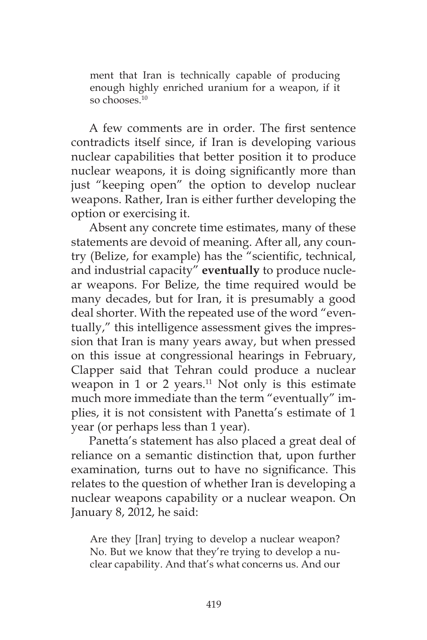ment that Iran is technically capable of producing enough highly enriched uranium for a weapon, if it so chooses.<sup>10</sup>

A few comments are in order. The first sentence contradicts itself since, if Iran is developing various nuclear capabilities that better position it to produce nuclear weapons, it is doing significantly more than just "keeping open" the option to develop nuclear weapons. Rather, Iran is either further developing the option or exercising it.

Absent any concrete time estimates, many of these statements are devoid of meaning. After all, any country (Belize, for example) has the "scientific, technical, and industrial capacity" **eventually** to produce nuclear weapons. For Belize, the time required would be many decades, but for Iran, it is presumably a good deal shorter. With the repeated use of the word "eventually," this intelligence assessment gives the impression that Iran is many years away, but when pressed on this issue at congressional hearings in February, Clapper said that Tehran could produce a nuclear weapon in  $1$  or  $2$  years.<sup>11</sup> Not only is this estimate much more immediate than the term "eventually" implies, it is not consistent with Panetta's estimate of 1 year (or perhaps less than 1 year).

Panetta's statement has also placed a great deal of reliance on a semantic distinction that, upon further examination, turns out to have no significance. This relates to the question of whether Iran is developing a nuclear weapons capability or a nuclear weapon. On January 8, 2012, he said:

Are they [Iran] trying to develop a nuclear weapon? No. But we know that they're trying to develop a nuclear capability. And that's what concerns us. And our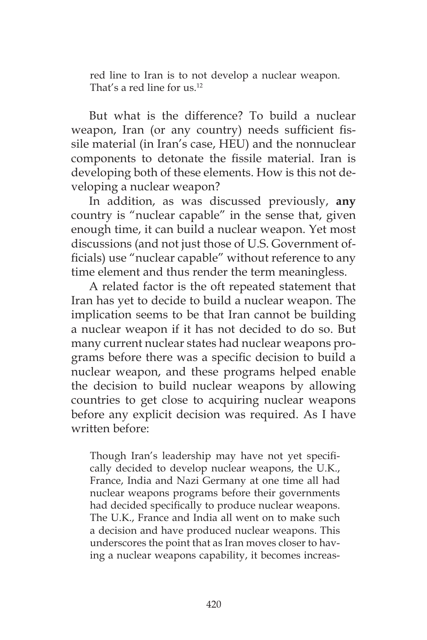red line to Iran is to not develop a nuclear weapon. That's a red line for us.<sup>12</sup>

But what is the difference? To build a nuclear weapon, Iran (or any country) needs sufficient fissile material (in Iran's case, HEU) and the nonnuclear components to detonate the fissile material. Iran is developing both of these elements. How is this not developing a nuclear weapon?

In addition, as was discussed previously, **any** country is "nuclear capable" in the sense that, given enough time, it can build a nuclear weapon. Yet most discussions (and not just those of U.S. Government officials) use "nuclear capable" without reference to any time element and thus render the term meaningless.

A related factor is the oft repeated statement that Iran has yet to decide to build a nuclear weapon. The implication seems to be that Iran cannot be building a nuclear weapon if it has not decided to do so. But many current nuclear states had nuclear weapons programs before there was a specific decision to build a nuclear weapon, and these programs helped enable the decision to build nuclear weapons by allowing countries to get close to acquiring nuclear weapons before any explicit decision was required. As I have written before:

Though Iran's leadership may have not yet specifically decided to develop nuclear weapons, the U.K., France, India and Nazi Germany at one time all had nuclear weapons programs before their governments had decided specifically to produce nuclear weapons. The U.K., France and India all went on to make such a decision and have produced nuclear weapons. This underscores the point that as Iran moves closer to having a nuclear weapons capability, it becomes increas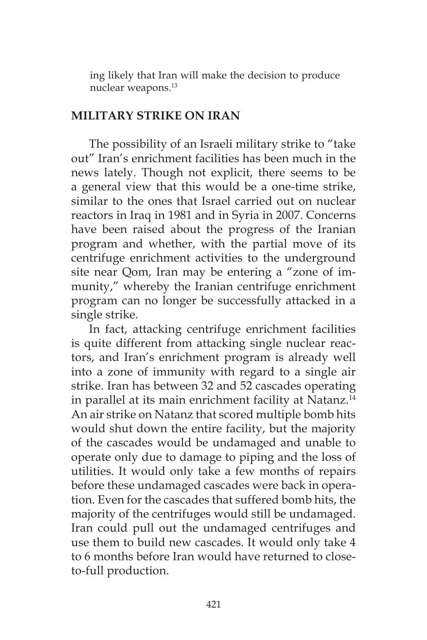ing likely that Iran will make the decision to produce nuclear weapons.13

#### **MILITARY STRIKE ON IRAN**

The possibility of an Israeli military strike to "take out" Iran's enrichment facilities has been much in the news lately. Though not explicit, there seems to be a general view that this would be a one-time strike, similar to the ones that Israel carried out on nuclear reactors in Iraq in 1981 and in Syria in 2007. Concerns have been raised about the progress of the Iranian program and whether, with the partial move of its centrifuge enrichment activities to the underground site near Qom, Iran may be entering a "zone of immunity," whereby the Iranian centrifuge enrichment program can no longer be successfully attacked in a single strike.

In fact, attacking centrifuge enrichment facilities is quite different from attacking single nuclear reactors, and Iran's enrichment program is already well into a zone of immunity with regard to a single air strike. Iran has between 32 and 52 cascades operating in parallel at its main enrichment facility at Natanz.<sup>14</sup> An air strike on Natanz that scored multiple bomb hits would shut down the entire facility, but the majority of the cascades would be undamaged and unable to operate only due to damage to piping and the loss of utilities. It would only take a few months of repairs before these undamaged cascades were back in operation. Even for the cascades that suffered bomb hits, the majority of the centrifuges would still be undamaged. Iran could pull out the undamaged centrifuges and use them to build new cascades. It would only take 4 to 6 months before Iran would have returned to closeto-full production.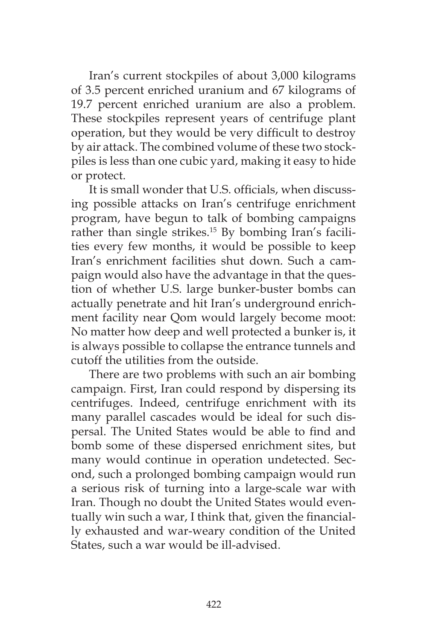Iran's current stockpiles of about 3,000 kilograms of 3.5 percent enriched uranium and 67 kilograms of 19.7 percent enriched uranium are also a problem. These stockpiles represent years of centrifuge plant operation, but they would be very difficult to destroy by air attack. The combined volume of these two stockpiles is less than one cubic yard, making it easy to hide or protect.

It is small wonder that U.S. officials, when discussing possible attacks on Iran's centrifuge enrichment program, have begun to talk of bombing campaigns rather than single strikes.<sup>15</sup> By bombing Iran's facilities every few months, it would be possible to keep Iran's enrichment facilities shut down. Such a campaign would also have the advantage in that the question of whether U.S. large bunker-buster bombs can actually penetrate and hit Iran's underground enrichment facility near Qom would largely become moot: No matter how deep and well protected a bunker is, it is always possible to collapse the entrance tunnels and cutoff the utilities from the outside.

There are two problems with such an air bombing campaign. First, Iran could respond by dispersing its centrifuges. Indeed, centrifuge enrichment with its many parallel cascades would be ideal for such dispersal. The United States would be able to find and bomb some of these dispersed enrichment sites, but many would continue in operation undetected. Second, such a prolonged bombing campaign would run a serious risk of turning into a large-scale war with Iran. Though no doubt the United States would eventually win such a war, I think that, given the financially exhausted and war-weary condition of the United States, such a war would be ill-advised.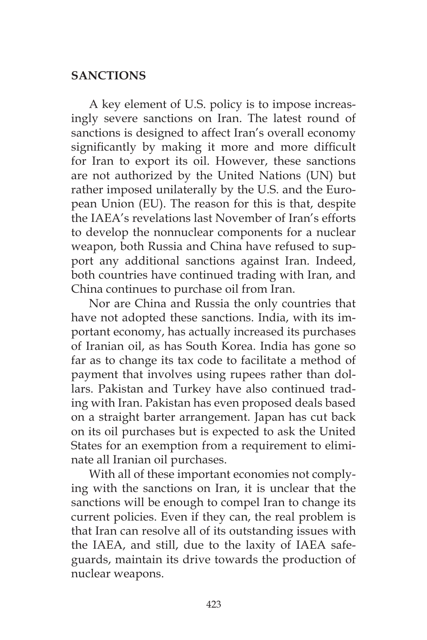### **SANCTIONS**

A key element of U.S. policy is to impose increasingly severe sanctions on Iran. The latest round of sanctions is designed to affect Iran's overall economy significantly by making it more and more difficult for Iran to export its oil. However, these sanctions are not authorized by the United Nations (UN) but rather imposed unilaterally by the U.S. and the European Union (EU). The reason for this is that, despite the IAEA's revelations last November of Iran's efforts to develop the nonnuclear components for a nuclear weapon, both Russia and China have refused to support any additional sanctions against Iran. Indeed, both countries have continued trading with Iran, and China continues to purchase oil from Iran.

Nor are China and Russia the only countries that have not adopted these sanctions. India, with its important economy, has actually increased its purchases of Iranian oil, as has South Korea. India has gone so far as to change its tax code to facilitate a method of payment that involves using rupees rather than dollars. Pakistan and Turkey have also continued trading with Iran. Pakistan has even proposed deals based on a straight barter arrangement. Japan has cut back on its oil purchases but is expected to ask the United States for an exemption from a requirement to eliminate all Iranian oil purchases.

With all of these important economies not complying with the sanctions on Iran, it is unclear that the sanctions will be enough to compel Iran to change its current policies. Even if they can, the real problem is that Iran can resolve all of its outstanding issues with the IAEA, and still, due to the laxity of IAEA safeguards, maintain its drive towards the production of nuclear weapons.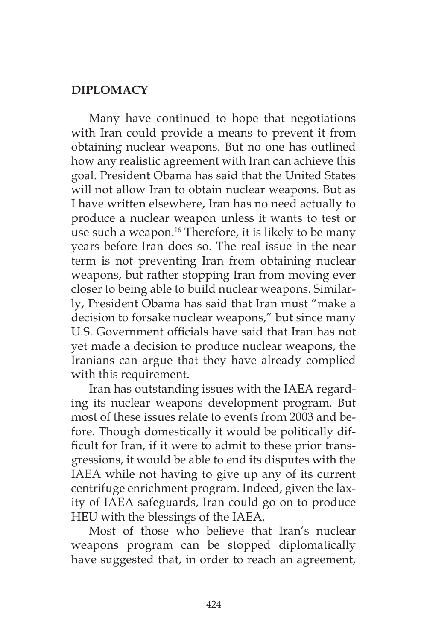### **DIPLOMACY**

Many have continued to hope that negotiations with Iran could provide a means to prevent it from obtaining nuclear weapons. But no one has outlined how any realistic agreement with Iran can achieve this goal. President Obama has said that the United States will not allow Iran to obtain nuclear weapons. But as I have written elsewhere, Iran has no need actually to produce a nuclear weapon unless it wants to test or use such a weapon.<sup>16</sup> Therefore, it is likely to be many years before Iran does so. The real issue in the near term is not preventing Iran from obtaining nuclear weapons, but rather stopping Iran from moving ever closer to being able to build nuclear weapons. Similarly, President Obama has said that Iran must "make a decision to forsake nuclear weapons," but since many U.S. Government officials have said that Iran has not yet made a decision to produce nuclear weapons, the Iranians can argue that they have already complied with this requirement.

Iran has outstanding issues with the IAEA regarding its nuclear weapons development program. But most of these issues relate to events from 2003 and before. Though domestically it would be politically difficult for Iran, if it were to admit to these prior transgressions, it would be able to end its disputes with the IAEA while not having to give up any of its current centrifuge enrichment program. Indeed, given the laxity of IAEA safeguards, Iran could go on to produce HEU with the blessings of the IAEA.

Most of those who believe that Iran's nuclear weapons program can be stopped diplomatically have suggested that, in order to reach an agreement,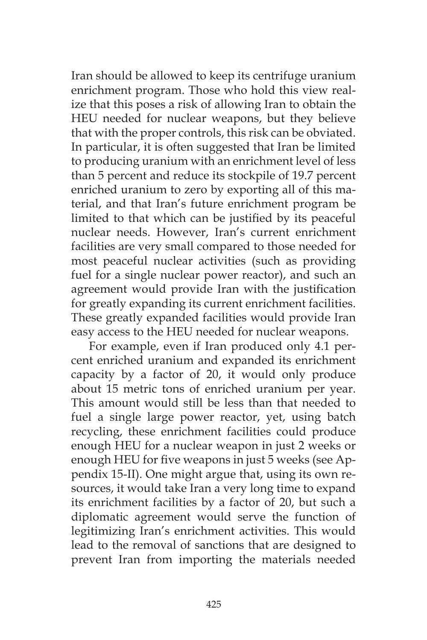Iran should be allowed to keep its centrifuge uranium enrichment program. Those who hold this view realize that this poses a risk of allowing Iran to obtain the HEU needed for nuclear weapons, but they believe that with the proper controls, this risk can be obviated. In particular, it is often suggested that Iran be limited to producing uranium with an enrichment level of less than 5 percent and reduce its stockpile of 19.7 percent enriched uranium to zero by exporting all of this material, and that Iran's future enrichment program be limited to that which can be justified by its peaceful nuclear needs. However, Iran's current enrichment facilities are very small compared to those needed for most peaceful nuclear activities (such as providing fuel for a single nuclear power reactor), and such an agreement would provide Iran with the justification for greatly expanding its current enrichment facilities. These greatly expanded facilities would provide Iran easy access to the HEU needed for nuclear weapons.

For example, even if Iran produced only 4.1 percent enriched uranium and expanded its enrichment capacity by a factor of 20, it would only produce about 15 metric tons of enriched uranium per year. This amount would still be less than that needed to fuel a single large power reactor, yet, using batch recycling, these enrichment facilities could produce enough HEU for a nuclear weapon in just 2 weeks or enough HEU for five weapons in just 5 weeks (see Appendix 15-II). One might argue that, using its own resources, it would take Iran a very long time to expand its enrichment facilities by a factor of 20, but such a diplomatic agreement would serve the function of legitimizing Iran's enrichment activities. This would lead to the removal of sanctions that are designed to prevent Iran from importing the materials needed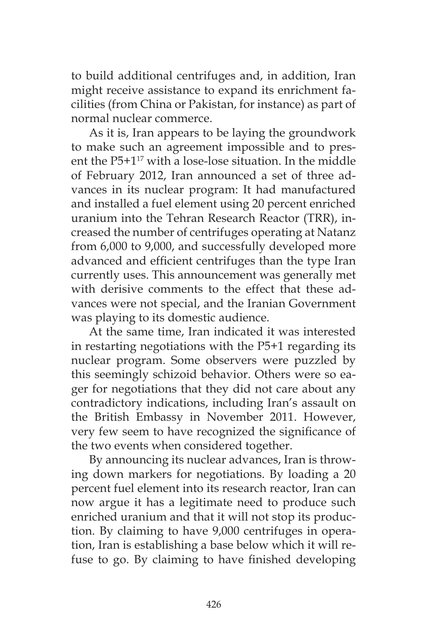to build additional centrifuges and, in addition, Iran might receive assistance to expand its enrichment facilities (from China or Pakistan, for instance) as part of normal nuclear commerce.

As it is, Iran appears to be laying the groundwork to make such an agreement impossible and to present the  $P5+1^{17}$  with a lose-lose situation. In the middle of February 2012, Iran announced a set of three advances in its nuclear program: It had manufactured and installed a fuel element using 20 percent enriched uranium into the Tehran Research Reactor (TRR), increased the number of centrifuges operating at Natanz from 6,000 to 9,000, and successfully developed more advanced and efficient centrifuges than the type Iran currently uses. This announcement was generally met with derisive comments to the effect that these advances were not special, and the Iranian Government was playing to its domestic audience.

At the same time, Iran indicated it was interested in restarting negotiations with the P5+1 regarding its nuclear program. Some observers were puzzled by this seemingly schizoid behavior. Others were so eager for negotiations that they did not care about any contradictory indications, including Iran's assault on the British Embassy in November 2011. However, very few seem to have recognized the significance of the two events when considered together.

By announcing its nuclear advances, Iran is throwing down markers for negotiations. By loading a 20 percent fuel element into its research reactor, Iran can now argue it has a legitimate need to produce such enriched uranium and that it will not stop its production. By claiming to have 9,000 centrifuges in operation, Iran is establishing a base below which it will refuse to go. By claiming to have finished developing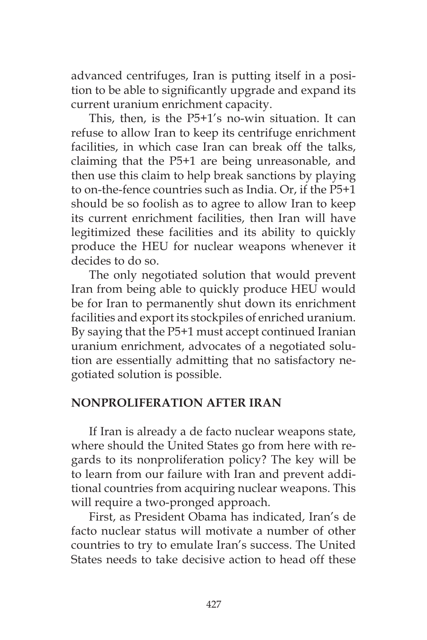advanced centrifuges, Iran is putting itself in a position to be able to significantly upgrade and expand its current uranium enrichment capacity.

This, then, is the P5+1's no-win situation. It can refuse to allow Iran to keep its centrifuge enrichment facilities, in which case Iran can break off the talks, claiming that the P5+1 are being unreasonable, and then use this claim to help break sanctions by playing to on-the-fence countries such as India. Or, if the P5+1 should be so foolish as to agree to allow Iran to keep its current enrichment facilities, then Iran will have legitimized these facilities and its ability to quickly produce the HEU for nuclear weapons whenever it decides to do so.

The only negotiated solution that would prevent Iran from being able to quickly produce HEU would be for Iran to permanently shut down its enrichment facilities and export its stockpiles of enriched uranium. By saying that the P5+1 must accept continued Iranian uranium enrichment, advocates of a negotiated solution are essentially admitting that no satisfactory negotiated solution is possible.

### **NONPROLIFERATION AFTER IRAN**

If Iran is already a de facto nuclear weapons state, where should the United States go from here with regards to its nonproliferation policy? The key will be to learn from our failure with Iran and prevent additional countries from acquiring nuclear weapons. This will require a two-pronged approach.

First, as President Obama has indicated, Iran's de facto nuclear status will motivate a number of other countries to try to emulate Iran's success. The United States needs to take decisive action to head off these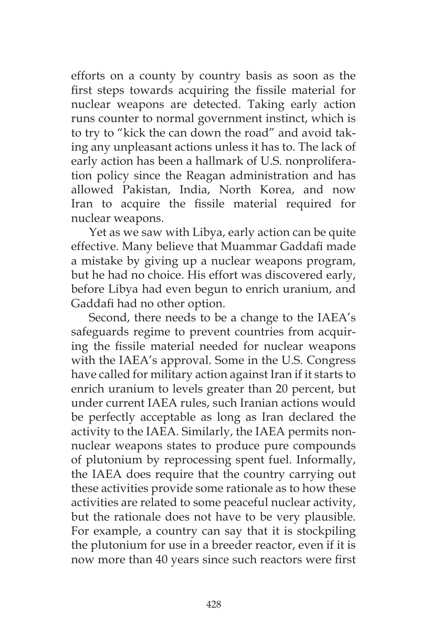efforts on a county by country basis as soon as the first steps towards acquiring the fissile material for nuclear weapons are detected. Taking early action runs counter to normal government instinct, which is to try to "kick the can down the road" and avoid taking any unpleasant actions unless it has to. The lack of early action has been a hallmark of U.S. nonproliferation policy since the Reagan administration and has allowed Pakistan, India, North Korea, and now Iran to acquire the fissile material required for nuclear weapons.

Yet as we saw with Libya, early action can be quite effective. Many believe that Muammar Gaddafi made a mistake by giving up a nuclear weapons program, but he had no choice. His effort was discovered early, before Libya had even begun to enrich uranium, and Gaddafi had no other option.

Second, there needs to be a change to the IAEA's safeguards regime to prevent countries from acquiring the fissile material needed for nuclear weapons with the IAEA's approval. Some in the U.S. Congress have called for military action against Iran if it starts to enrich uranium to levels greater than 20 percent, but under current IAEA rules, such Iranian actions would be perfectly acceptable as long as Iran declared the activity to the IAEA. Similarly, the IAEA permits nonnuclear weapons states to produce pure compounds of plutonium by reprocessing spent fuel. Informally, the IAEA does require that the country carrying out these activities provide some rationale as to how these activities are related to some peaceful nuclear activity, but the rationale does not have to be very plausible. For example, a country can say that it is stockpiling the plutonium for use in a breeder reactor, even if it is now more than 40 years since such reactors were first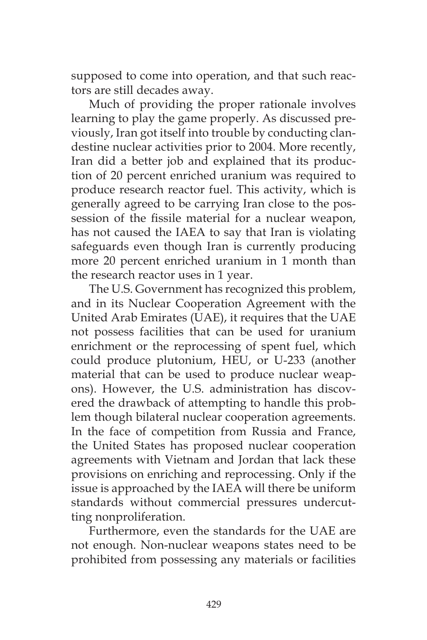supposed to come into operation, and that such reactors are still decades away.

Much of providing the proper rationale involves learning to play the game properly. As discussed previously, Iran got itself into trouble by conducting clandestine nuclear activities prior to 2004. More recently, Iran did a better job and explained that its production of 20 percent enriched uranium was required to produce research reactor fuel. This activity, which is generally agreed to be carrying Iran close to the possession of the fissile material for a nuclear weapon, has not caused the IAEA to say that Iran is violating safeguards even though Iran is currently producing more 20 percent enriched uranium in 1 month than the research reactor uses in 1 year.

The U.S. Government has recognized this problem, and in its Nuclear Cooperation Agreement with the United Arab Emirates (UAE), it requires that the UAE not possess facilities that can be used for uranium enrichment or the reprocessing of spent fuel, which could produce plutonium, HEU, or U-233 (another material that can be used to produce nuclear weapons). However, the U.S. administration has discovered the drawback of attempting to handle this problem though bilateral nuclear cooperation agreements. In the face of competition from Russia and France, the United States has proposed nuclear cooperation agreements with Vietnam and Jordan that lack these provisions on enriching and reprocessing. Only if the issue is approached by the IAEA will there be uniform standards without commercial pressures undercutting nonproliferation.

Furthermore, even the standards for the UAE are not enough. Non-nuclear weapons states need to be prohibited from possessing any materials or facilities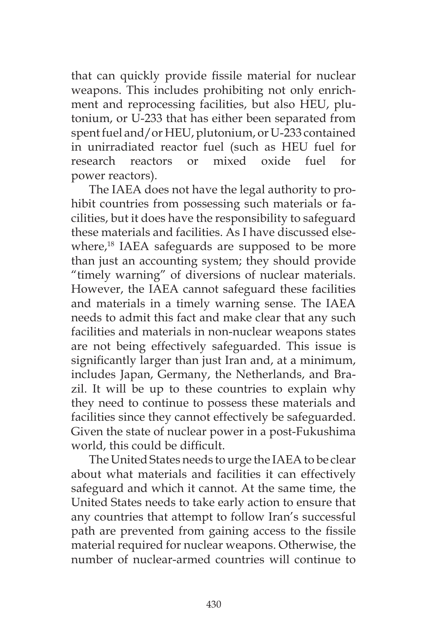that can quickly provide fissile material for nuclear weapons. This includes prohibiting not only enrichment and reprocessing facilities, but also HEU, plutonium, or U-233 that has either been separated from spent fuel and/or HEU, plutonium, or U-233 contained in unirradiated reactor fuel (such as HEU fuel for research reactors or mixed oxide fuel for power reactors).

The IAEA does not have the legal authority to prohibit countries from possessing such materials or facilities, but it does have the responsibility to safeguard these materials and facilities. As I have discussed elsewhere,<sup>18</sup> IAEA safeguards are supposed to be more than just an accounting system; they should provide "timely warning" of diversions of nuclear materials. However, the IAEA cannot safeguard these facilities and materials in a timely warning sense. The IAEA needs to admit this fact and make clear that any such facilities and materials in non-nuclear weapons states are not being effectively safeguarded. This issue is significantly larger than just Iran and, at a minimum, includes Japan, Germany, the Netherlands, and Brazil. It will be up to these countries to explain why they need to continue to possess these materials and facilities since they cannot effectively be safeguarded. Given the state of nuclear power in a post-Fukushima world, this could be difficult.

The United States needs to urge the IAEA to be clear about what materials and facilities it can effectively safeguard and which it cannot. At the same time, the United States needs to take early action to ensure that any countries that attempt to follow Iran's successful path are prevented from gaining access to the fissile material required for nuclear weapons. Otherwise, the number of nuclear-armed countries will continue to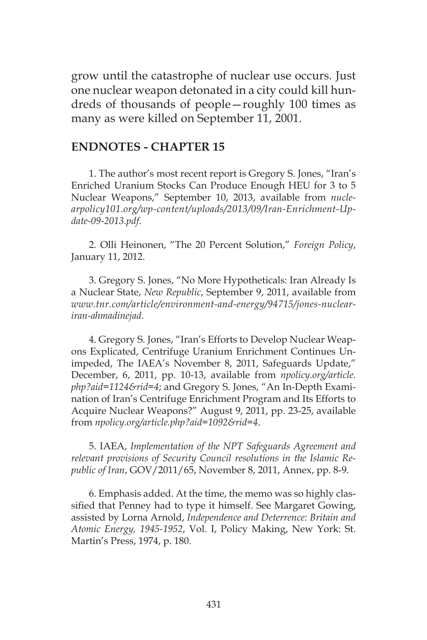grow until the catastrophe of nuclear use occurs. Just one nuclear weapon detonated in a city could kill hundreds of thousands of people—roughly 100 times as many as were killed on September 11, 2001.

#### **ENDNOTES - CHAPTER 15**

1. The author's most recent report is Gregory S. Jones, "Iran's Enriched Uranium Stocks Can Produce Enough HEU for 3 to 5 Nuclear Weapons," September 10, 2013, available from *nuclearpolicy101.org/wp-content/uploads/2013/09/Iran-Enrichment-Update-09-2013.pdf*.

2. Olli Heinonen, "The 20 Percent Solution," *Foreign Policy*, January 11, 2012.

3. Gregory S. Jones, "No More Hypotheticals: Iran Already Is a Nuclear State, *New Republic*, September 9, 2011, available from *www.tnr.com/article/environment-and-energy/94715/jones-nucleariran-ahmadinejad*.

4. Gregory S. Jones, "Iran's Efforts to Develop Nuclear Weapons Explicated, Centrifuge Uranium Enrichment Continues Unimpeded, The IAEA's November 8, 2011, Safeguards Update," December, 6, 2011, pp. 10-13, available from *npolicy.org/article. php?aid=1124&rid=4*; and Gregory S. Jones, "An In-Depth Examination of Iran's Centrifuge Enrichment Program and Its Efforts to Acquire Nuclear Weapons?" August 9, 2011, pp. 23-25, available from *npolicy.org/article.php?aid=1092&rid=4*.

5. IAEA, *Implementation of the NPT Safeguards Agreement and relevant provisions of Security Council resolutions in the Islamic Republic of Iran*, GOV/2011/65, November 8, 2011, Annex, pp. 8-9.

6. Emphasis added. At the time, the memo was so highly classified that Penney had to type it himself. See Margaret Gowing, assisted by Lorna Arnold, *Independence and Deterrence: Britain and Atomic Energy, 1945-1952*, Vol. I, Policy Making, New York: St. Martin's Press, 1974, p. 180.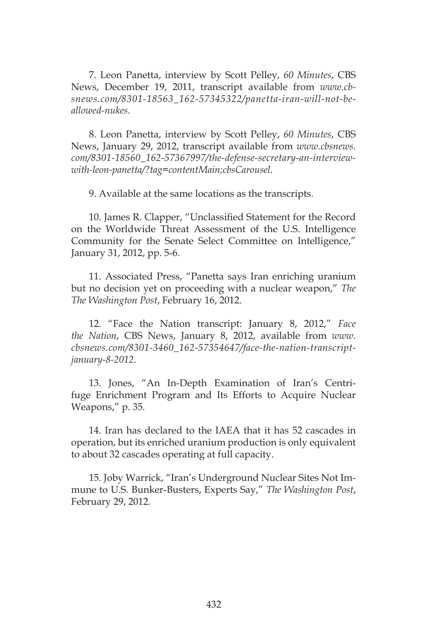7. Leon Panetta, interview by Scott Pelley, *60 Minutes*, CBS News, December 19, 2011, transcript available from *www.cbsnews.com/8301-18563\_162-57345322/panetta-iran-will-not-beallowed-nukes*.

8. Leon Panetta, interview by Scott Pelley, *60 Minutes*, CBS News, January 29, 2012, transcript available from *www.cbsnews. com/8301-18560\_162-57367997/the-defense-secretary-an-interviewwith-leon-panetta/?tag=contentMain;cbsCarousel*.

9. Available at the same locations as the transcripts.

10. James R. Clapper, "Unclassified Statement for the Record on the Worldwide Threat Assessment of the U.S. Intelligence Community for the Senate Select Committee on Intelligence," January 31, 2012, pp. 5-6.

11. Associated Press, "Panetta says Iran enriching uranium but no decision yet on proceeding with a nuclear weapon," *The The Washington Post*, February 16, 2012.

12. "Face the Nation transcript: January 8, 2012," *Face the Nation*, CBS News, January 8, 2012, available from *www. cbsnews.com/8301-3460\_162-57354647/face-the-nation-transcriptjanuary-8-2012*.

13. Jones, "An In-Depth Examination of Iran's Centrifuge Enrichment Program and Its Efforts to Acquire Nuclear Weapons," p. 35*.*

14. Iran has declared to the IAEA that it has 52 cascades in operation, but its enriched uranium production is only equivalent to about 32 cascades operating at full capacity.

15. Joby Warrick, "Iran's Underground Nuclear Sites Not Immune to U.S. Bunker-Busters, Experts Say," *The Washington Post*, February 29, 2012.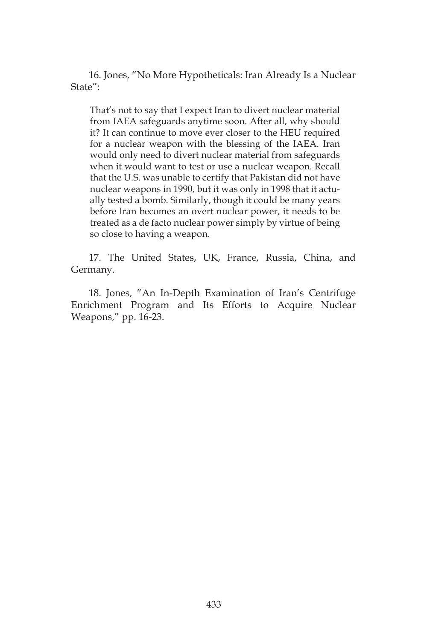16. Jones, "No More Hypotheticals: Iran Already Is a Nuclear State":

That's not to say that I expect Iran to divert nuclear material from IAEA safeguards anytime soon. After all, why should it? It can continue to move ever closer to the HEU required for a nuclear weapon with the blessing of the IAEA. Iran would only need to divert nuclear material from safeguards when it would want to test or use a nuclear weapon. Recall that the U.S. was unable to certify that Pakistan did not have nuclear weapons in 1990, but it was only in 1998 that it actually tested a bomb. Similarly, though it could be many years before Iran becomes an overt nuclear power, it needs to be treated as a de facto nuclear power simply by virtue of being so close to having a weapon.

17. The United States, UK, France, Russia, China, and Germany.

18. Jones, "An In-Depth Examination of Iran's Centrifuge Enrichment Program and Its Efforts to Acquire Nuclear Weapons," pp. 16-23.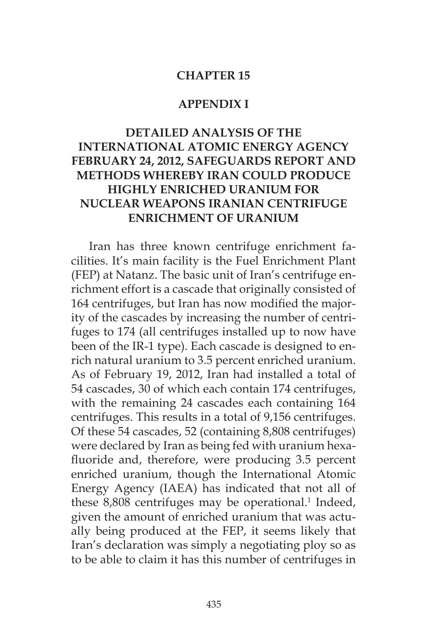#### **CHAPTER 15**

#### **APPENDIX I**

## **DETAILED ANALYSIS OF THE INTERNATIONAL ATOMIC ENERGY AGENCY FEBRUARY 24, 2012, SAFEGUARDS REPORT AND METHODS WHEREBY IRAN COULD PRODUCE HIGHLY ENRICHED URANIUM FOR NUCLEAR WEAPONS IRANIAN CENTRIFUGE ENRICHMENT OF URANIUM**

Iran has three known centrifuge enrichment facilities. It's main facility is the Fuel Enrichment Plant (FEP) at Natanz. The basic unit of Iran's centrifuge enrichment effort is a cascade that originally consisted of 164 centrifuges, but Iran has now modified the majority of the cascades by increasing the number of centrifuges to 174 (all centrifuges installed up to now have been of the IR-1 type). Each cascade is designed to enrich natural uranium to 3.5 percent enriched uranium. As of February 19, 2012, Iran had installed a total of 54 cascades, 30 of which each contain 174 centrifuges, with the remaining 24 cascades each containing 164 centrifuges. This results in a total of 9,156 centrifuges. Of these 54 cascades, 52 (containing 8,808 centrifuges) were declared by Iran as being fed with uranium hexafluoride and, therefore, were producing 3.5 percent enriched uranium, though the International Atomic Energy Agency (IAEA) has indicated that not all of these 8,808 centrifuges may be operational.<sup>1</sup> Indeed, given the amount of enriched uranium that was actually being produced at the FEP, it seems likely that Iran's declaration was simply a negotiating ploy so as to be able to claim it has this number of centrifuges in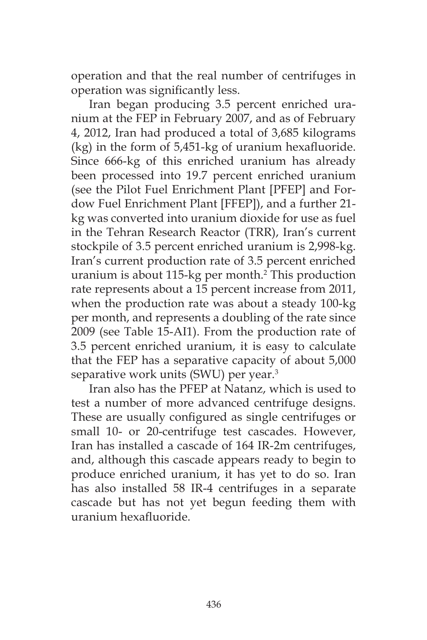operation and that the real number of centrifuges in operation was significantly less.

Iran began producing 3.5 percent enriched uranium at the FEP in February 2007, and as of February 4, 2012, Iran had produced a total of 3,685 kilograms (kg) in the form of 5,451-kg of uranium hexafluoride. Since 666-kg of this enriched uranium has already been processed into 19.7 percent enriched uranium (see the Pilot Fuel Enrichment Plant [PFEP] and Fordow Fuel Enrichment Plant [FFEP]), and a further 21 kg was converted into uranium dioxide for use as fuel in the Tehran Research Reactor (TRR), Iran's current stockpile of 3.5 percent enriched uranium is 2,998-kg. Iran's current production rate of 3.5 percent enriched uranium is about 115-kg per month.<sup>2</sup> This production rate represents about a 15 percent increase from 2011, when the production rate was about a steady 100-kg per month, and represents a doubling of the rate since 2009 (see Table 15-AI1). From the production rate of 3.5 percent enriched uranium, it is easy to calculate that the FEP has a separative capacity of about 5,000 separative work units (SWU) per year.<sup>3</sup>

Iran also has the PFEP at Natanz, which is used to test a number of more advanced centrifuge designs. These are usually configured as single centrifuges or small 10- or 20-centrifuge test cascades. However, Iran has installed a cascade of 164 IR-2m centrifuges, and, although this cascade appears ready to begin to produce enriched uranium, it has yet to do so. Iran has also installed 58 IR-4 centrifuges in a separate cascade but has not yet begun feeding them with uranium hexafluoride.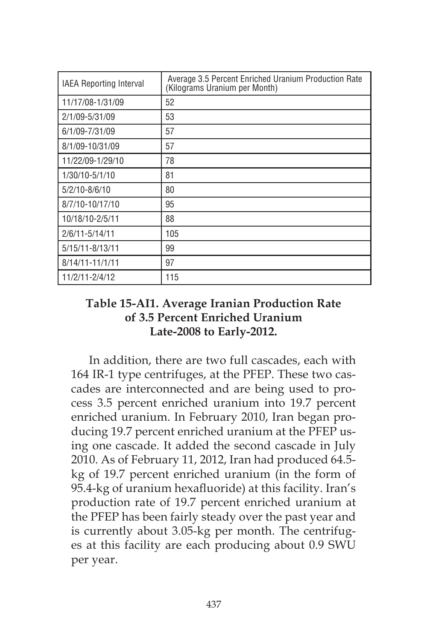| IAEA Reporting Interval | Average 3.5 Percent Enriched Uranium Production Rate<br>(Kilograms Uranium per Month) |
|-------------------------|---------------------------------------------------------------------------------------|
| 11/17/08-1/31/09        | 52                                                                                    |
| 2/1/09-5/31/09          | 53                                                                                    |
| 6/1/09-7/31/09          | 57                                                                                    |
| 8/1/09-10/31/09         | 57                                                                                    |
| 11/22/09-1/29/10        | 78                                                                                    |
| 1/30/10-5/1/10          | 81                                                                                    |
| 5/2/10-8/6/10           | 80                                                                                    |
| 8/7/10-10/17/10         | 95                                                                                    |
| 10/18/10-2/5/11         | 88                                                                                    |
| 2/6/11-5/14/11          | 105                                                                                   |
| 5/15/11-8/13/11         | 99                                                                                    |
| 8/14/11-11/1/11         | 97                                                                                    |
| 11/2/11-2/4/12          | 115                                                                                   |

### **Table 15-AI1. Average Iranian Production Rate of 3.5 Percent Enriched Uranium Late-2008 to Early-2012.**

In addition, there are two full cascades, each with 164 IR-1 type centrifuges, at the PFEP. These two cascades are interconnected and are being used to process 3.5 percent enriched uranium into 19.7 percent enriched uranium. In February 2010, Iran began producing 19.7 percent enriched uranium at the PFEP using one cascade. It added the second cascade in July 2010. As of February 11, 2012, Iran had produced 64.5 kg of 19.7 percent enriched uranium (in the form of 95.4-kg of uranium hexafluoride) at this facility. Iran's production rate of 19.7 percent enriched uranium at the PFEP has been fairly steady over the past year and is currently about 3.05-kg per month. The centrifuges at this facility are each producing about 0.9 SWU per year.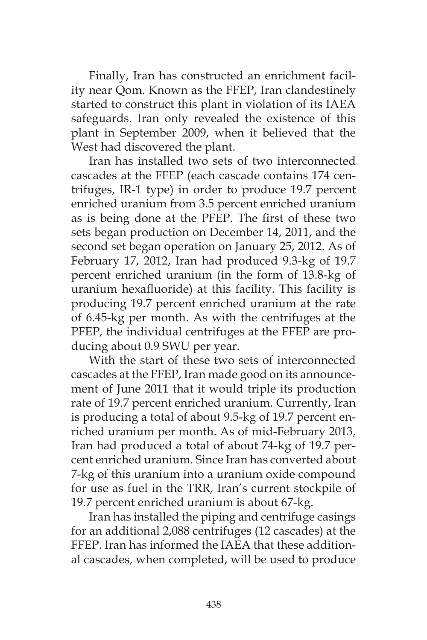Finally, Iran has constructed an enrichment facility near Qom. Known as the FFEP, Iran clandestinely started to construct this plant in violation of its IAEA safeguards. Iran only revealed the existence of this plant in September 2009, when it believed that the West had discovered the plant.

Iran has installed two sets of two interconnected cascades at the FFEP (each cascade contains 174 centrifuges, IR-1 type) in order to produce 19.7 percent enriched uranium from 3.5 percent enriched uranium as is being done at the PFEP. The first of these two sets began production on December 14, 2011, and the second set began operation on January 25, 2012. As of February 17, 2012, Iran had produced 9.3-kg of 19.7 percent enriched uranium (in the form of 13.8-kg of uranium hexafluoride) at this facility. This facility is producing 19.7 percent enriched uranium at the rate of 6.45-kg per month. As with the centrifuges at the PFEP, the individual centrifuges at the FFEP are producing about 0.9 SWU per year.

With the start of these two sets of interconnected cascades at the FFEP, Iran made good on its announcement of June 2011 that it would triple its production rate of 19.7 percent enriched uranium. Currently, Iran is producing a total of about 9.5-kg of 19.7 percent enriched uranium per month. As of mid-February 2013, Iran had produced a total of about 74-kg of 19.7 percent enriched uranium. Since Iran has converted about 7-kg of this uranium into a uranium oxide compound for use as fuel in the TRR, Iran's current stockpile of 19.7 percent enriched uranium is about 67-kg.

Iran has installed the piping and centrifuge casings for an additional 2,088 centrifuges (12 cascades) at the FFEP. Iran has informed the IAEA that these additional cascades, when completed, will be used to produce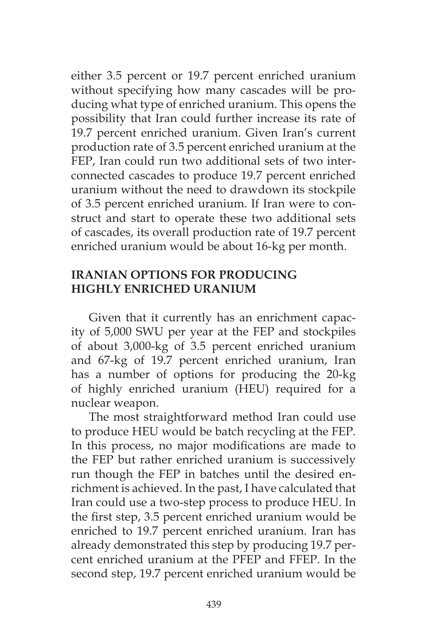either 3.5 percent or 19.7 percent enriched uranium without specifying how many cascades will be producing what type of enriched uranium. This opens the possibility that Iran could further increase its rate of 19.7 percent enriched uranium. Given Iran's current production rate of 3.5 percent enriched uranium at the FEP, Iran could run two additional sets of two interconnected cascades to produce 19.7 percent enriched uranium without the need to drawdown its stockpile of 3.5 percent enriched uranium. If Iran were to construct and start to operate these two additional sets of cascades, its overall production rate of 19.7 percent enriched uranium would be about 16-kg per month.

## **IRANIAN OPTIONS FOR PRODUCING HIGHLY ENRICHED URANIUM**

Given that it currently has an enrichment capacity of 5,000 SWU per year at the FEP and stockpiles of about 3,000-kg of 3.5 percent enriched uranium and 67-kg of 19.7 percent enriched uranium, Iran has a number of options for producing the 20-kg of highly enriched uranium (HEU) required for a nuclear weapon.

The most straightforward method Iran could use to produce HEU would be batch recycling at the FEP. In this process, no major modifications are made to the FEP but rather enriched uranium is successively run though the FEP in batches until the desired enrichment is achieved. In the past, I have calculated that Iran could use a two-step process to produce HEU. In the first step, 3.5 percent enriched uranium would be enriched to 19.7 percent enriched uranium. Iran has already demonstrated this step by producing 19.7 percent enriched uranium at the PFEP and FFEP. In the second step, 19.7 percent enriched uranium would be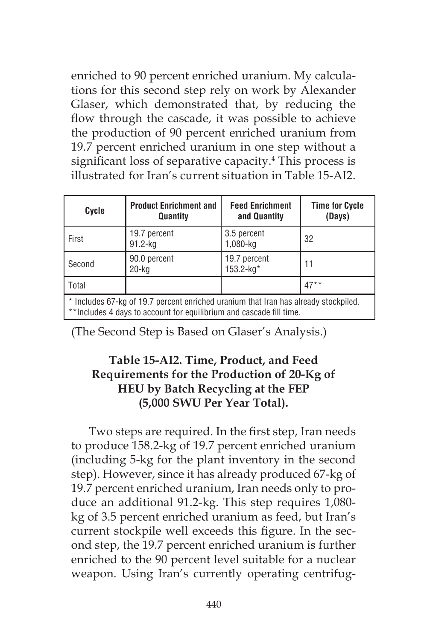enriched to 90 percent enriched uranium. My calculations for this second step rely on work by Alexander Glaser, which demonstrated that, by reducing the flow through the cascade, it was possible to achieve the production of 90 percent enriched uranium from 19.7 percent enriched uranium in one step without a significant loss of separative capacity.<sup>4</sup> This process is illustrated for Iran's current situation in Table 15-AI2.

| Cycle                                                                                                                                                      | <b>Product Enrichment and</b><br>Quantity | <b>Feed Enrichment</b><br>and Quantity | <b>Time for Cycle</b><br>(Days) |
|------------------------------------------------------------------------------------------------------------------------------------------------------------|-------------------------------------------|----------------------------------------|---------------------------------|
| First                                                                                                                                                      | 19.7 percent<br>$91.2$ -kg                | 3.5 percent<br>1,080-kg                | 32                              |
| Second                                                                                                                                                     | 90.0 percent<br>20-ka                     | 19.7 percent<br>$153.2 - kg*$          | 11                              |
| Total                                                                                                                                                      |                                           |                                        | $47**$                          |
| * Includes 67-kg of 19.7 percent enriched uranium that Iran has already stockpiled.<br>**Includes 4 days to account for equilibrium and cascade fill time. |                                           |                                        |                                 |

(The Second Step is Based on Glaser's Analysis.)

## **Table 15-AI2. Time, Product, and Feed Requirements for the Production of 20-Kg of HEU by Batch Recycling at the FEP (5,000 SWU Per Year Total).**

Two steps are required. In the first step, Iran needs to produce 158.2-kg of 19.7 percent enriched uranium (including 5-kg for the plant inventory in the second step). However, since it has already produced 67-kg of 19.7 percent enriched uranium, Iran needs only to produce an additional 91.2-kg. This step requires 1,080 kg of 3.5 percent enriched uranium as feed, but Iran's current stockpile well exceeds this figure. In the second step, the 19.7 percent enriched uranium is further enriched to the 90 percent level suitable for a nuclear weapon. Using Iran's currently operating centrifug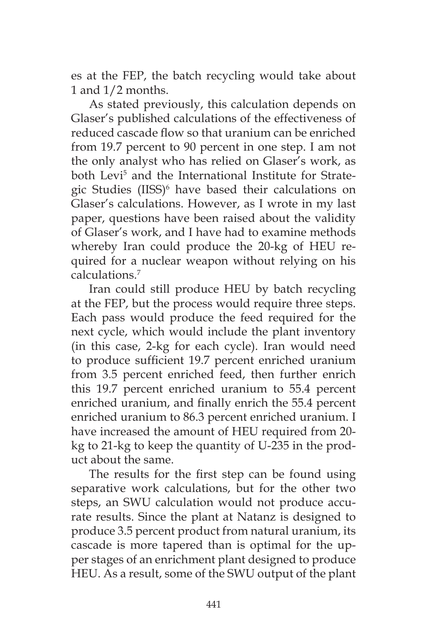es at the FEP, the batch recycling would take about 1 and 1/2 months.

As stated previously, this calculation depends on Glaser's published calculations of the effectiveness of reduced cascade flow so that uranium can be enriched from 19.7 percent to 90 percent in one step. I am not the only analyst who has relied on Glaser's work, as both Levi<sup>5</sup> and the International Institute for Strategic Studies (IISS)<sup>6</sup> have based their calculations on Glaser's calculations. However, as I wrote in my last paper, questions have been raised about the validity of Glaser's work, and I have had to examine methods whereby Iran could produce the 20-kg of HEU required for a nuclear weapon without relying on his calculations.7

Iran could still produce HEU by batch recycling at the FEP, but the process would require three steps. Each pass would produce the feed required for the next cycle, which would include the plant inventory (in this case, 2-kg for each cycle). Iran would need to produce sufficient 19.7 percent enriched uranium from 3.5 percent enriched feed, then further enrich this 19.7 percent enriched uranium to 55.4 percent enriched uranium, and finally enrich the 55.4 percent enriched uranium to 86.3 percent enriched uranium. I have increased the amount of HEU required from 20 kg to 21-kg to keep the quantity of U-235 in the product about the same.

The results for the first step can be found using separative work calculations, but for the other two steps, an SWU calculation would not produce accurate results. Since the plant at Natanz is designed to produce 3.5 percent product from natural uranium, its cascade is more tapered than is optimal for the upper stages of an enrichment plant designed to produce HEU. As a result, some of the SWU output of the plant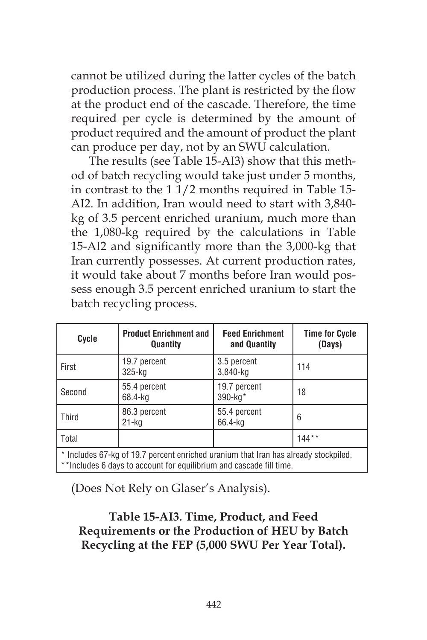cannot be utilized during the latter cycles of the batch production process. The plant is restricted by the flow at the product end of the cascade. Therefore, the time required per cycle is determined by the amount of product required and the amount of product the plant can produce per day, not by an SWU calculation.

The results (see Table 15-AI3) show that this method of batch recycling would take just under 5 months, in contrast to the 1 1/2 months required in Table 15- AI2. In addition, Iran would need to start with 3,840 kg of 3.5 percent enriched uranium, much more than the 1,080-kg required by the calculations in Table 15-AI2 and significantly more than the 3,000-kg that Iran currently possesses. At current production rates, it would take about 7 months before Iran would possess enough 3.5 percent enriched uranium to start the batch recycling process.

| Cycle                                                                                                                                                      | <b>Product Enrichment and</b><br>Quantity | <b>Feed Enrichment</b><br>and Quantity | <b>Time for Cycle</b><br>(Days) |
|------------------------------------------------------------------------------------------------------------------------------------------------------------|-------------------------------------------|----------------------------------------|---------------------------------|
| First                                                                                                                                                      | 19.7 percent<br>325-kg                    | 3.5 percent<br>$3,840$ -kg             | 114                             |
| Second                                                                                                                                                     | 55.4 percent<br>68.4-kg                   | 19.7 percent<br>$390 - kg*$            | 18                              |
| <b>Third</b>                                                                                                                                               | 86.3 percent<br>$21 - kq$                 | 55.4 percent<br>66.4-kg                | 6                               |
| Total                                                                                                                                                      |                                           |                                        | $144**$                         |
| * Includes 67-kg of 19.7 percent enriched uranium that Iran has already stockpiled.<br>**Includes 6 days to account for equilibrium and cascade fill time. |                                           |                                        |                                 |

(Does Not Rely on Glaser's Analysis).

## **Table 15-AI3. Time, Product, and Feed Requirements or the Production of HEU by Batch Recycling at the FEP (5,000 SWU Per Year Total).**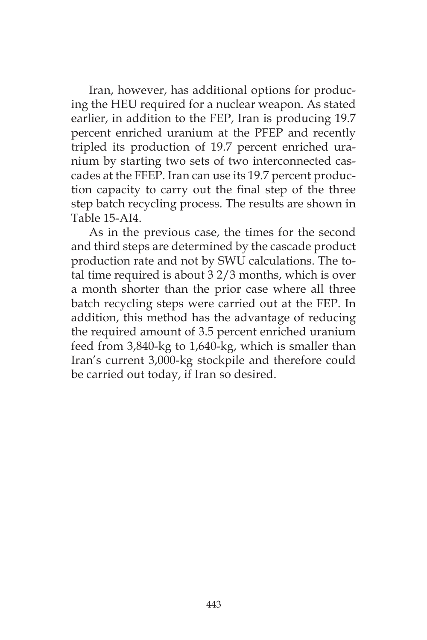Iran, however, has additional options for producing the HEU required for a nuclear weapon. As stated earlier, in addition to the FEP, Iran is producing 19.7 percent enriched uranium at the PFEP and recently tripled its production of 19.7 percent enriched uranium by starting two sets of two interconnected cascades at the FFEP. Iran can use its 19.7 percent production capacity to carry out the final step of the three step batch recycling process. The results are shown in Table 15-AI4.

As in the previous case, the times for the second and third steps are determined by the cascade product production rate and not by SWU calculations. The total time required is about 3 2/3 months, which is over a month shorter than the prior case where all three batch recycling steps were carried out at the FEP. In addition, this method has the advantage of reducing the required amount of 3.5 percent enriched uranium feed from 3,840-kg to 1,640-kg, which is smaller than Iran's current 3,000-kg stockpile and therefore could be carried out today, if Iran so desired.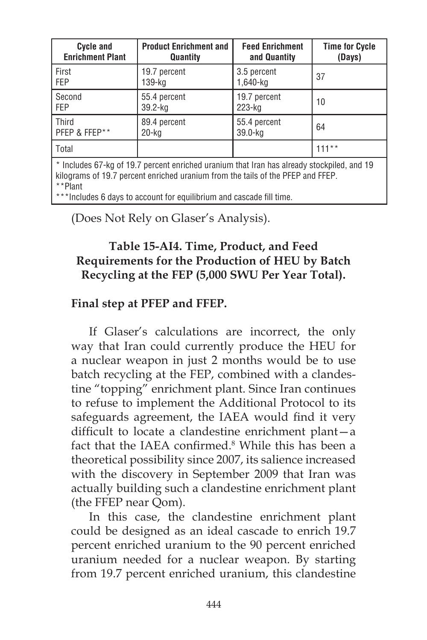| <b>Cycle and</b>                                                                           | <b>Product Enrichment and</b> | <b>Feed Enrichment</b> | <b>Time for Cycle</b> |
|--------------------------------------------------------------------------------------------|-------------------------------|------------------------|-----------------------|
| <b>Enrichment Plant</b>                                                                    | Quantity                      | and Quantity           | (Days)                |
| l First                                                                                    | 19.7 percent                  | 3.5 percent            | 37                    |
| l Fep                                                                                      | 139-ka                        | 1,640-ka               |                       |
| Second                                                                                     | 55.4 percent                  | 19.7 percent           | 10                    |
| <b>FEP</b>                                                                                 | 39.2-kg                       | 223-kg                 |                       |
| Third                                                                                      | 89.4 percent                  | 55.4 percent           | 64                    |
| PFEP & FFEP**                                                                              | 20-kg                         | 39.0-kg                |                       |
| l Total                                                                                    |                               |                        | $111***$              |
| * Includes 67-kg of 19.7 percent enriched uranium that Iran has already stockpiled, and 19 |                               |                        |                       |

kilograms of 19.7 percent enriched uranium from the tails of the PFEP and FFEP. \*\*Plant

\*\*Includes 6 days to account for equilibrium and cascade fill time.

# (Does Not Rely on Glaser's Analysis).

### **Table 15-AI4. Time, Product, and Feed Requirements for the Production of HEU by Batch Recycling at the FEP (5,000 SWU Per Year Total).**

## **Final step at PFEP and FFEP.**

If Glaser's calculations are incorrect, the only way that Iran could currently produce the HEU for a nuclear weapon in just 2 months would be to use batch recycling at the FEP, combined with a clandestine "topping" enrichment plant. Since Iran continues to refuse to implement the Additional Protocol to its safeguards agreement, the IAEA would find it very difficult to locate a clandestine enrichment plant—a fact that the IAEA confirmed.<sup>8</sup> While this has been a theoretical possibility since 2007, its salience increased with the discovery in September 2009 that Iran was actually building such a clandestine enrichment plant (the FFEP near Qom).

In this case, the clandestine enrichment plant could be designed as an ideal cascade to enrich 19.7 percent enriched uranium to the 90 percent enriched uranium needed for a nuclear weapon. By starting from 19.7 percent enriched uranium, this clandestine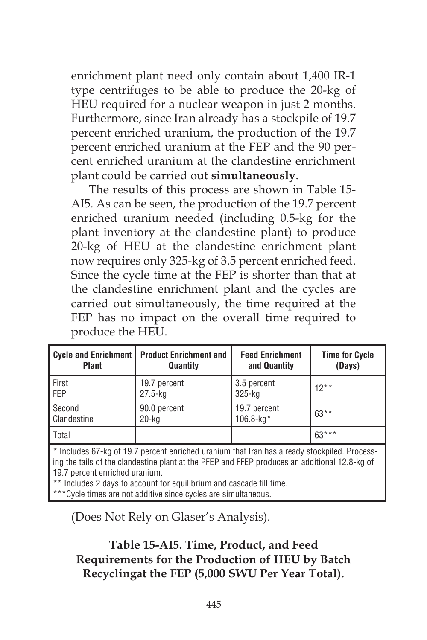enrichment plant need only contain about 1,400 IR-1 type centrifuges to be able to produce the 20-kg of HEU required for a nuclear weapon in just 2 months. Furthermore, since Iran already has a stockpile of 19.7 percent enriched uranium, the production of the 19.7 percent enriched uranium at the FEP and the 90 percent enriched uranium at the clandestine enrichment plant could be carried out **simultaneously**.

The results of this process are shown in Table 15- AI5. As can be seen, the production of the 19.7 percent enriched uranium needed (including 0.5-kg for the plant inventory at the clandestine plant) to produce 20-kg of HEU at the clandestine enrichment plant now requires only 325-kg of 3.5 percent enriched feed. Since the cycle time at the FEP is shorter than that at the clandestine enrichment plant and the cycles are carried out simultaneously, the time required at the FEP has no impact on the overall time required to produce the HEU.

| Cycle and Enrichment | <b>Product Enrichment and</b> | <b>Feed Enrichment</b> | <b>Time for Cycle</b> |
|----------------------|-------------------------------|------------------------|-----------------------|
| <b>Plant</b>         | Quantity                      | and Quantity           | (Days)                |
| First                | 19.7 percent                  | 3.5 percent            | $12**$                |
| FEP                  | $27.5 - kg$                   | $325 - kg$             |                       |
| Second               | 90.0 percent                  | 19.7 percent           | $63**$                |
| Clandestine          | $20$ -kg                      | $106.8 - kg*$          |                       |
| Total                |                               |                        | $63***$               |

\* Includes 67-kg of 19.7 percent enriched uranium that Iran has already stockpiled. Processing the tails of the clandestine plant at the PFEP and FFEP produces an additional 12.8-kg of 19.7 percent enriched uranium.

\*\* Includes 2 days to account for equilibrium and cascade fill time.

\*\*\*Cycle times are not additive since cycles are simultaneous.

(Does Not Rely on Glaser's Analysis).

# **Table 15-AI5. Time, Product, and Feed Requirements for the Production of HEU by Batch Recyclingat the FEP (5,000 SWU Per Year Total).**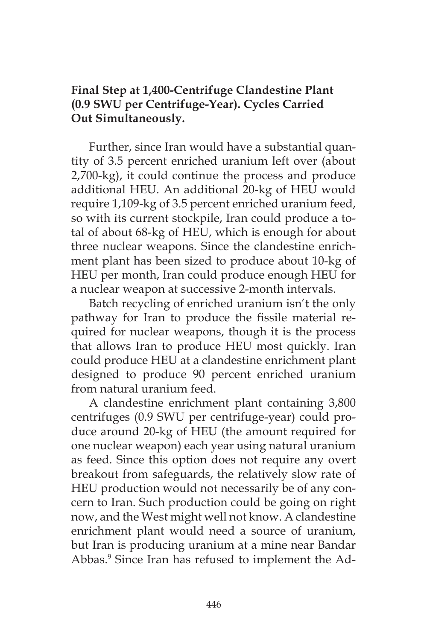### **Final Step at 1,400-Centrifuge Clandestine Plant (0.9 SWU per Centrifuge-Year). Cycles Carried Out Simultaneously.**

Further, since Iran would have a substantial quantity of 3.5 percent enriched uranium left over (about 2,700-kg), it could continue the process and produce additional HEU. An additional 20-kg of HEU would require 1,109-kg of 3.5 percent enriched uranium feed, so with its current stockpile, Iran could produce a total of about 68-kg of HEU, which is enough for about three nuclear weapons. Since the clandestine enrichment plant has been sized to produce about 10-kg of HEU per month, Iran could produce enough HEU for a nuclear weapon at successive 2-month intervals.

Batch recycling of enriched uranium isn't the only pathway for Iran to produce the fissile material required for nuclear weapons, though it is the process that allows Iran to produce HEU most quickly. Iran could produce HEU at a clandestine enrichment plant designed to produce 90 percent enriched uranium from natural uranium feed.

A clandestine enrichment plant containing 3,800 centrifuges (0.9 SWU per centrifuge-year) could produce around 20-kg of HEU (the amount required for one nuclear weapon) each year using natural uranium as feed. Since this option does not require any overt breakout from safeguards, the relatively slow rate of HEU production would not necessarily be of any concern to Iran. Such production could be going on right now, and the West might well not know. A clandestine enrichment plant would need a source of uranium, but Iran is producing uranium at a mine near Bandar Abbas.9 Since Iran has refused to implement the Ad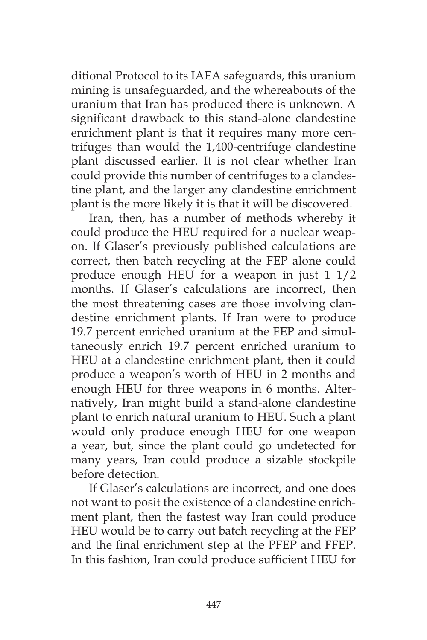ditional Protocol to its IAEA safeguards, this uranium mining is unsafeguarded, and the whereabouts of the uranium that Iran has produced there is unknown. A significant drawback to this stand-alone clandestine enrichment plant is that it requires many more centrifuges than would the 1,400-centrifuge clandestine plant discussed earlier. It is not clear whether Iran could provide this number of centrifuges to a clandestine plant, and the larger any clandestine enrichment plant is the more likely it is that it will be discovered.

Iran, then, has a number of methods whereby it could produce the HEU required for a nuclear weapon. If Glaser's previously published calculations are correct, then batch recycling at the FEP alone could produce enough HEU for a weapon in just 1 1/2 months. If Glaser's calculations are incorrect, then the most threatening cases are those involving clandestine enrichment plants. If Iran were to produce 19.7 percent enriched uranium at the FEP and simultaneously enrich 19.7 percent enriched uranium to HEU at a clandestine enrichment plant, then it could produce a weapon's worth of HEU in 2 months and enough HEU for three weapons in 6 months. Alternatively, Iran might build a stand-alone clandestine plant to enrich natural uranium to HEU. Such a plant would only produce enough HEU for one weapon a year, but, since the plant could go undetected for many years, Iran could produce a sizable stockpile before detection.

If Glaser's calculations are incorrect, and one does not want to posit the existence of a clandestine enrichment plant, then the fastest way Iran could produce HEU would be to carry out batch recycling at the FEP and the final enrichment step at the PFEP and FFEP. In this fashion, Iran could produce sufficient HEU for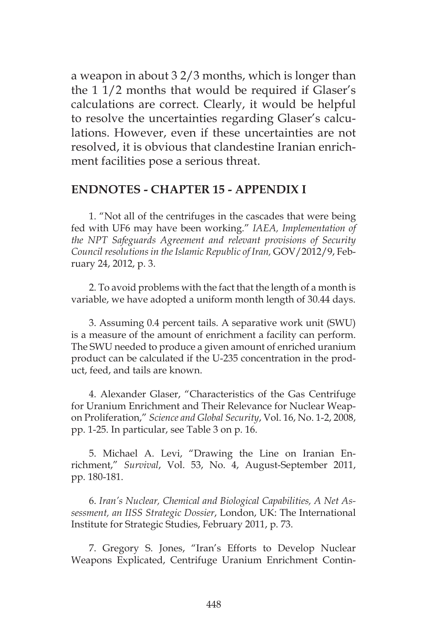a weapon in about 3 2/3 months, which is longer than the 1 1/2 months that would be required if Glaser's calculations are correct. Clearly, it would be helpful to resolve the uncertainties regarding Glaser's calculations. However, even if these uncertainties are not resolved, it is obvious that clandestine Iranian enrichment facilities pose a serious threat.

#### **ENDNOTES - CHAPTER 15 - APPENDIX I**

1. "Not all of the centrifuges in the cascades that were being fed with UF6 may have been working." *IAEA, Implementation of the NPT Safeguards Agreement and relevant provisions of Security Council resolutions in the Islamic Republic of Iran,* GOV/2012/9, February 24, 2012, p. 3.

2. To avoid problems with the fact that the length of a month is variable, we have adopted a uniform month length of 30.44 days.

3. Assuming 0.4 percent tails. A separative work unit (SWU) is a measure of the amount of enrichment a facility can perform. The SWU needed to produce a given amount of enriched uranium product can be calculated if the U-235 concentration in the product, feed, and tails are known.

4. Alexander Glaser, "Characteristics of the Gas Centrifuge for Uranium Enrichment and Their Relevance for Nuclear Weapon Proliferation," *Science and Global Security*, Vol. 16, No. 1-2, 2008, pp. 1-25. In particular, see Table 3 on p. 16.

5. Michael A. Levi, "Drawing the Line on Iranian Enrichment," *Survival*, Vol. 53, No. 4, August-September 2011, pp. 180-181.

6. *Iran's Nuclear, Chemical and Biological Capabilities, A Net Assessment, an IISS Strategic Dossier*, London, UK: The International Institute for Strategic Studies, February 2011, p. 73.

7. Gregory S. Jones, "Iran's Efforts to Develop Nuclear Weapons Explicated, Centrifuge Uranium Enrichment Contin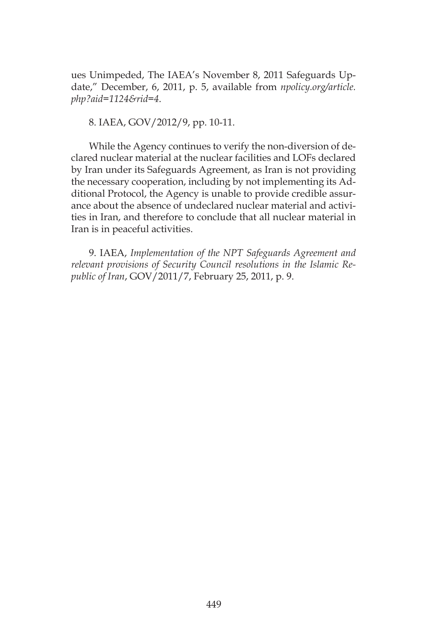ues Unimpeded, The IAEA's November 8, 2011 Safeguards Update," December, 6, 2011, p. 5, available from *npolicy.org/article. php?aid=1124&rid=4*.

8. IAEA, GOV/2012/9, pp. 10-11.

While the Agency continues to verify the non-diversion of declared nuclear material at the nuclear facilities and LOFs declared by Iran under its Safeguards Agreement, as Iran is not providing the necessary cooperation, including by not implementing its Additional Protocol, the Agency is unable to provide credible assurance about the absence of undeclared nuclear material and activities in Iran, and therefore to conclude that all nuclear material in Iran is in peaceful activities.

9. IAEA, *Implementation of the NPT Safeguards Agreement and relevant provisions of Security Council resolutions in the Islamic Republic of Iran*, GOV/2011/7, February 25, 2011, p. 9.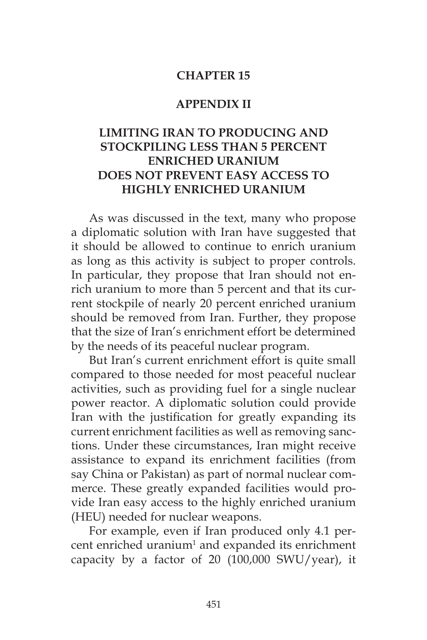#### **CHAPTER 15**

#### **APPENDIX II**

## **LIMITING IRAN TO PRODUCING AND STOCKPILING LESS THAN 5 PERCENT ENRICHED URANIUM DOES NOT PREVENT EASY ACCESS TO HIGHLY ENRICHED URANIUM**

As was discussed in the text, many who propose a diplomatic solution with Iran have suggested that it should be allowed to continue to enrich uranium as long as this activity is subject to proper controls. In particular, they propose that Iran should not enrich uranium to more than 5 percent and that its current stockpile of nearly 20 percent enriched uranium should be removed from Iran. Further, they propose that the size of Iran's enrichment effort be determined by the needs of its peaceful nuclear program.

But Iran's current enrichment effort is quite small compared to those needed for most peaceful nuclear activities, such as providing fuel for a single nuclear power reactor. A diplomatic solution could provide Iran with the justification for greatly expanding its current enrichment facilities as well as removing sanctions. Under these circumstances, Iran might receive assistance to expand its enrichment facilities (from say China or Pakistan) as part of normal nuclear commerce. These greatly expanded facilities would provide Iran easy access to the highly enriched uranium (HEU) needed for nuclear weapons.

For example, even if Iran produced only 4.1 per $cent$  enriched uranium<sup>1</sup> and expanded its enrichment capacity by a factor of 20 (100,000 SWU/year), it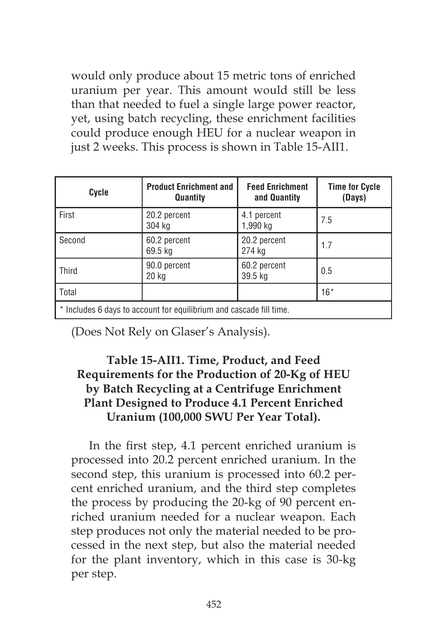would only produce about 15 metric tons of enriched uranium per year. This amount would still be less than that needed to fuel a single large power reactor, yet, using batch recycling, these enrichment facilities could produce enough HEU for a nuclear weapon in just 2 weeks. This process is shown in Table 15-AII1.

| Cycle                                                               | <b>Product Enrichment and</b><br>Quantity | <b>Feed Enrichment</b><br>and Quantity | <b>Time for Cycle</b><br>(Days) |
|---------------------------------------------------------------------|-------------------------------------------|----------------------------------------|---------------------------------|
| First                                                               | 20.2 percent<br>304 kg                    | 4.1 percent<br>1,990 kg                | 7.5                             |
| Second                                                              | 60.2 percent<br>69.5 kg                   | 20.2 percent<br>274 kg                 | 1.7                             |
| Third                                                               | 90.0 percent<br>20 kg                     | 60.2 percent<br>39.5 kg                | 0.5                             |
| Total                                                               |                                           |                                        | $16*$                           |
| * Includes 6 days to account for equilibrium and cascade fill time. |                                           |                                        |                                 |

(Does Not Rely on Glaser's Analysis).

## **Table 15-AII1. Time, Product, and Feed Requirements for the Production of 20-Kg of HEU by Batch Recycling at a Centrifuge Enrichment Plant Designed to Produce 4.1 Percent Enriched Uranium (100,000 SWU Per Year Total).**

In the first step, 4.1 percent enriched uranium is processed into 20.2 percent enriched uranium. In the second step, this uranium is processed into 60.2 percent enriched uranium, and the third step completes the process by producing the 20-kg of 90 percent enriched uranium needed for a nuclear weapon. Each step produces not only the material needed to be processed in the next step, but also the material needed for the plant inventory, which in this case is 30-kg per step.